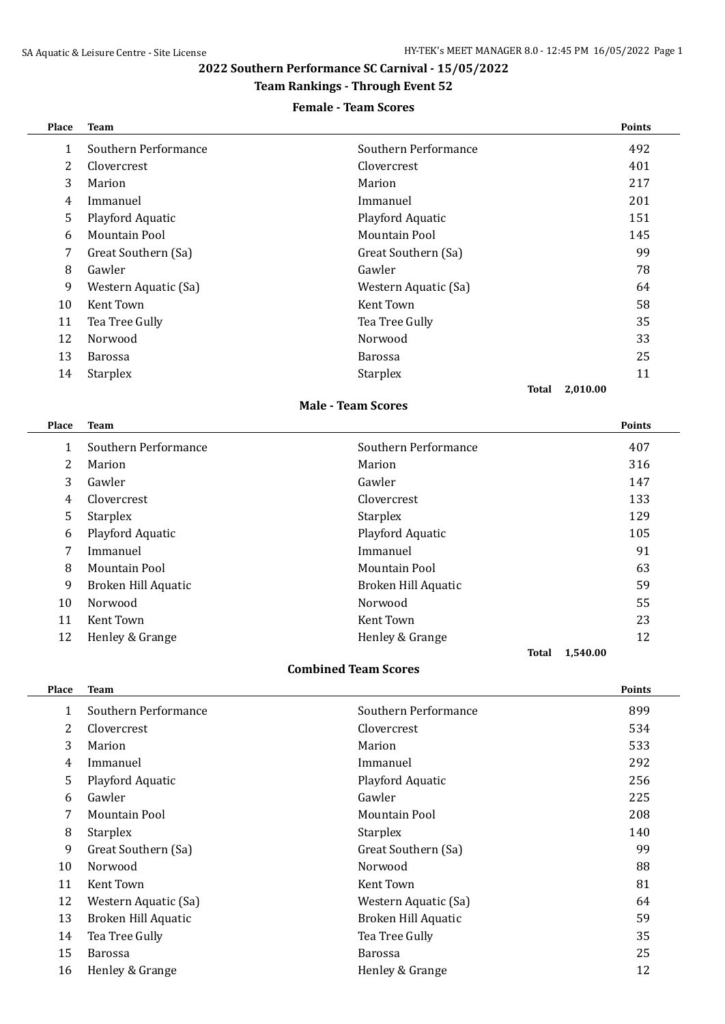# **2022 Southern Performance SC Carnival - 15/05/2022**

## **Team Rankings - Through Event 52**

## **Female - Team Scores**

| <b>Place</b> | <b>Team</b>          |                      | <b>Points</b> |
|--------------|----------------------|----------------------|---------------|
| 1            | Southern Performance | Southern Performance | 492           |
| 2            | Clovercrest          | <b>Clovercrest</b>   | 401           |
| 3            | Marion               | Marion               | 217           |
| 4            | Immanuel             | Immanuel             | 201           |
| 5            | Playford Aquatic     | Playford Aquatic     | 151           |
| 6            | Mountain Pool        | Mountain Pool        | 145           |
| 7            | Great Southern (Sa)  | Great Southern (Sa)  | 99            |
| 8            | Gawler               | Gawler               | 78            |
| 9            | Western Aquatic (Sa) | Western Aquatic (Sa) | 64            |
| 10           | Kent Town            | Kent Town            | 58            |
| 11           | Tea Tree Gully       | Tea Tree Gully       | 35            |
| 12           | Norwood              | Norwood              | 33            |
| 13           | <b>Barossa</b>       | <b>Barossa</b>       | 25            |
| 14           | <b>Starplex</b>      | <b>Starplex</b>      | 11            |
|              |                      | Total                | 2,010.00      |

#### **Male - Team Scores**

| Place | <b>Team</b>          |                      | <b>Points</b> |
|-------|----------------------|----------------------|---------------|
| 1     | Southern Performance | Southern Performance | 407           |
| 2     | Marion               | Marion               | 316           |
| 3     | Gawler               | Gawler               | 147           |
| 4     | Clovercrest          | Clovercrest          | 133           |
| 5     | <b>Starplex</b>      | <b>Starplex</b>      | 129           |
| 6     | Playford Aquatic     | Playford Aquatic     | 105           |
| 7     | Immanuel             | Immanuel             | 91            |
| 8     | Mountain Pool        | Mountain Pool        | 63            |
| 9     | Broken Hill Aquatic  | Broken Hill Aquatic  | 59            |
| 10    | Norwood              | Norwood              | 55            |
| 11    | Kent Town            | Kent Town            | 23            |
| 12    | Henley & Grange      | Henley & Grange      | 12            |
|       |                      | 1,540.00<br>Total    |               |

### **Combined Team Scores**

| Place | <b>Team</b>          |                      | <b>Points</b> |
|-------|----------------------|----------------------|---------------|
| 1     | Southern Performance | Southern Performance | 899           |
| 2     | Clovercrest          | Clovercrest          | 534           |
| 3     | Marion               | Marion               | 533           |
| 4     | Immanuel             | Immanuel             | 292           |
| 5     | Playford Aquatic     | Playford Aquatic     | 256           |
| 6     | Gawler               | Gawler               | 225           |
| 7     | Mountain Pool        | Mountain Pool        | 208           |
| 8     | <b>Starplex</b>      | <b>Starplex</b>      | 140           |
| 9     | Great Southern (Sa)  | Great Southern (Sa)  | 99            |
| 10    | Norwood              | Norwood              | 88            |
| 11    | Kent Town            | Kent Town            | 81            |
| 12    | Western Aquatic (Sa) | Western Aquatic (Sa) | 64            |
| 13    | Broken Hill Aquatic  | Broken Hill Aquatic  | 59            |
| 14    | Tea Tree Gully       | Tea Tree Gully       | 35            |
| 15    | <b>Barossa</b>       | <b>Barossa</b>       | 25            |
| 16    | Henley & Grange      | Henley & Grange      | 12            |